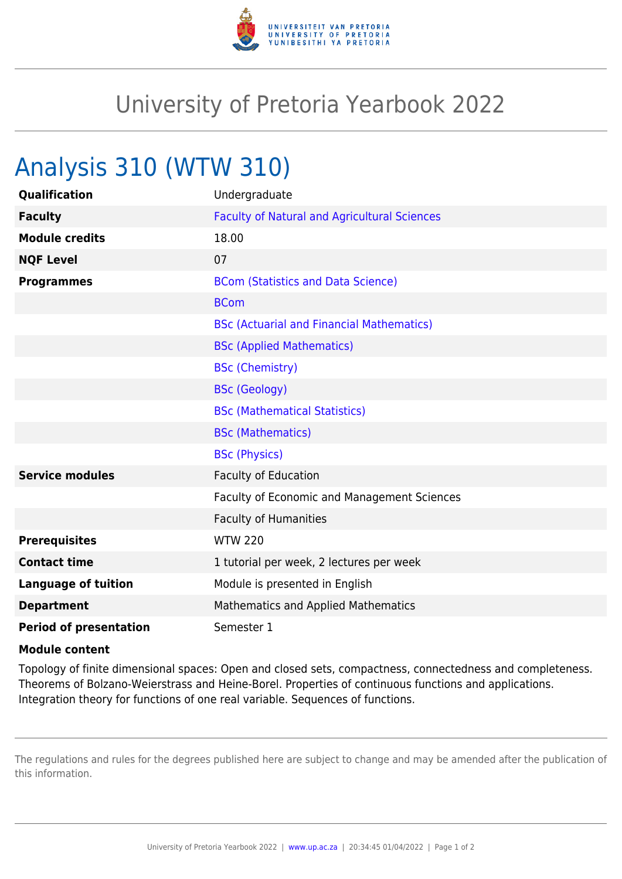

## University of Pretoria Yearbook 2022

## Analysis 310 (WTW 310)

| Qualification                 | Undergraduate                                       |
|-------------------------------|-----------------------------------------------------|
| <b>Faculty</b>                | <b>Faculty of Natural and Agricultural Sciences</b> |
| <b>Module credits</b>         | 18.00                                               |
| <b>NQF Level</b>              | 07                                                  |
| <b>Programmes</b>             | <b>BCom (Statistics and Data Science)</b>           |
|                               | <b>BCom</b>                                         |
|                               | <b>BSc (Actuarial and Financial Mathematics)</b>    |
|                               | <b>BSc (Applied Mathematics)</b>                    |
|                               | <b>BSc (Chemistry)</b>                              |
|                               | <b>BSc (Geology)</b>                                |
|                               | <b>BSc (Mathematical Statistics)</b>                |
|                               | <b>BSc (Mathematics)</b>                            |
|                               | <b>BSc (Physics)</b>                                |
| <b>Service modules</b>        | <b>Faculty of Education</b>                         |
|                               | Faculty of Economic and Management Sciences         |
|                               | <b>Faculty of Humanities</b>                        |
| <b>Prerequisites</b>          | <b>WTW 220</b>                                      |
| <b>Contact time</b>           | 1 tutorial per week, 2 lectures per week            |
| <b>Language of tuition</b>    | Module is presented in English                      |
| <b>Department</b>             | <b>Mathematics and Applied Mathematics</b>          |
| <b>Period of presentation</b> | Semester 1                                          |

## **Module content**

Topology of finite dimensional spaces: Open and closed sets, compactness, connectedness and completeness. Theorems of Bolzano-Weierstrass and Heine-Borel. Properties of continuous functions and applications. Integration theory for functions of one real variable. Sequences of functions.

The regulations and rules for the degrees published here are subject to change and may be amended after the publication of this information.